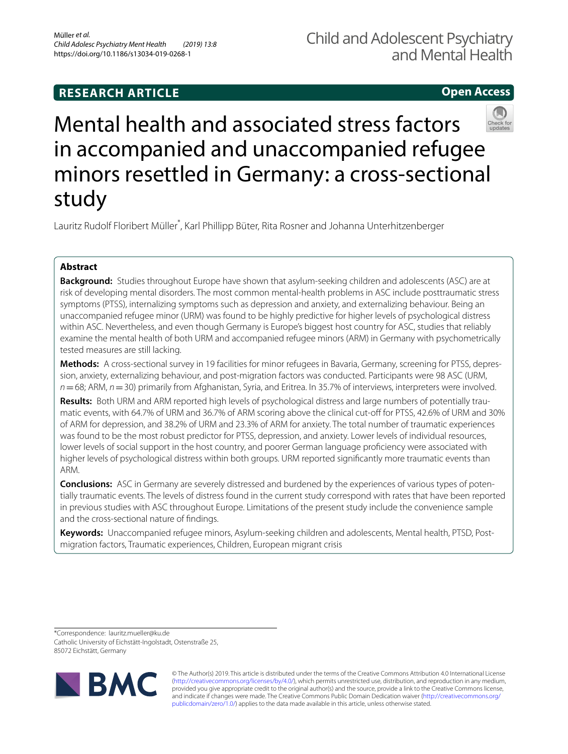# **RESEARCH ARTICLE**

# **Open Access**



# Mental health and associated stress factors in accompanied and unaccompanied refugee minors resettled in Germany: a cross-sectional study

Lauritz Rudolf Floribert Müller<sup>\*</sup>, Karl Phillipp Büter, Rita Rosner and Johanna Unterhitzenberger

# **Abstract**

**Background:** Studies throughout Europe have shown that asylum-seeking children and adolescents (ASC) are at risk of developing mental disorders. The most common mental-health problems in ASC include posttraumatic stress symptoms (PTSS), internalizing symptoms such as depression and anxiety, and externalizing behaviour. Being an unaccompanied refugee minor (URM) was found to be highly predictive for higher levels of psychological distress within ASC. Nevertheless, and even though Germany is Europe's biggest host country for ASC, studies that reliably examine the mental health of both URM and accompanied refugee minors (ARM) in Germany with psychometrically tested measures are still lacking.

**Methods:** A cross-sectional survey in 19 facilities for minor refugees in Bavaria, Germany, screening for PTSS, depression, anxiety, externalizing behaviour, and post-migration factors was conducted. Participants were 98 ASC (URM, *n*=68; ARM, *n*=30) primarily from Afghanistan, Syria, and Eritrea. In 35.7% of interviews, interpreters were involved.

**Results:** Both URM and ARM reported high levels of psychological distress and large numbers of potentially traumatic events, with 64.7% of URM and 36.7% of ARM scoring above the clinical cut-of for PTSS, 42.6% of URM and 30% of ARM for depression, and 38.2% of URM and 23.3% of ARM for anxiety. The total number of traumatic experiences was found to be the most robust predictor for PTSS, depression, and anxiety. Lower levels of individual resources, lower levels of social support in the host country, and poorer German language profciency were associated with higher levels of psychological distress within both groups. URM reported signifcantly more traumatic events than ARM.

**Conclusions:** ASC in Germany are severely distressed and burdened by the experiences of various types of potentially traumatic events. The levels of distress found in the current study correspond with rates that have been reported in previous studies with ASC throughout Europe. Limitations of the present study include the convenience sample and the cross-sectional nature of fndings.

**Keywords:** Unaccompanied refugee minors, Asylum-seeking children and adolescents, Mental health, PTSD, Postmigration factors, Traumatic experiences, Children, European migrant crisis

\*Correspondence: lauritz.mueller@ku.de Catholic University of Eichstätt-Ingolstadt, Ostenstraße 25, 85072 Eichstätt, Germany



© The Author(s) 2019. This article is distributed under the terms of the Creative Commons Attribution 4.0 International License [\(http://creativecommons.org/licenses/by/4.0/\)](http://creativecommons.org/licenses/by/4.0/), which permits unrestricted use, distribution, and reproduction in any medium, provided you give appropriate credit to the original author(s) and the source, provide a link to the Creative Commons license, and indicate if changes were made. The Creative Commons Public Domain Dedication waiver ([http://creativecommons.org/](http://creativecommons.org/publicdomain/zero/1.0/) [publicdomain/zero/1.0/](http://creativecommons.org/publicdomain/zero/1.0/)) applies to the data made available in this article, unless otherwise stated.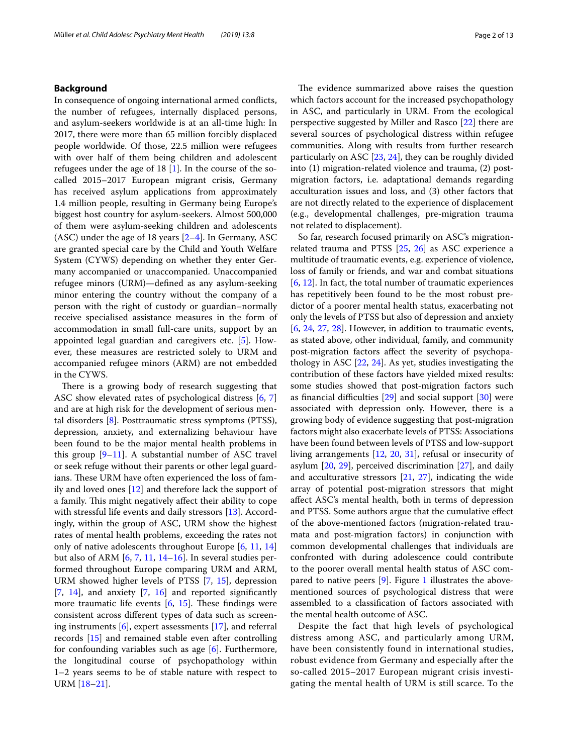# **Background**

In consequence of ongoing international armed conficts, the number of refugees, internally displaced persons, and asylum-seekers worldwide is at an all-time high: In 2017, there were more than 65 million forcibly displaced people worldwide. Of those, 22.5 million were refugees with over half of them being children and adolescent refugees under the age of 18 [\[1](#page-11-0)]. In the course of the socalled 2015–2017 European migrant crisis, Germany has received asylum applications from approximately 1.4 million people, resulting in Germany being Europe's biggest host country for asylum-seekers. Almost 500,000 of them were asylum-seeking children and adolescents (ASC) under the age of 18 years [[2–](#page-11-1)[4\]](#page-11-2). In Germany, ASC are granted special care by the Child and Youth Welfare System (CYWS) depending on whether they enter Germany accompanied or unaccompanied. Unaccompanied refugee minors (URM)—defned as any asylum-seeking minor entering the country without the company of a person with the right of custody or guardian–normally receive specialised assistance measures in the form of accommodation in small full-care units, support by an appointed legal guardian and caregivers etc. [[5\]](#page-11-3). However, these measures are restricted solely to URM and accompanied refugee minors (ARM) are not embedded in the CYWS.

There is a growing body of research suggesting that ASC show elevated rates of psychological distress [[6,](#page-12-0) [7](#page-12-1)] and are at high risk for the development of serious mental disorders [\[8](#page-12-2)]. Posttraumatic stress symptoms (PTSS), depression, anxiety, and externalizing behaviour have been found to be the major mental health problems in this group  $[9-11]$  $[9-11]$  $[9-11]$ . A substantial number of ASC travel or seek refuge without their parents or other legal guardians. These URM have often experienced the loss of family and loved ones [[12](#page-12-5)] and therefore lack the support of a family. This might negatively affect their ability to cope with stressful life events and daily stressors [\[13](#page-12-6)]. Accordingly, within the group of ASC, URM show the highest rates of mental health problems, exceeding the rates not only of native adolescents throughout Europe [\[6](#page-12-0), [11](#page-12-4), [14](#page-12-7)] but also of ARM  $[6, 7, 11, 14–16]$  $[6, 7, 11, 14–16]$  $[6, 7, 11, 14–16]$  $[6, 7, 11, 14–16]$  $[6, 7, 11, 14–16]$  $[6, 7, 11, 14–16]$  $[6, 7, 11, 14–16]$  $[6, 7, 11, 14–16]$ . In several studies performed throughout Europe comparing URM and ARM, URM showed higher levels of PTSS [\[7](#page-12-1), [15](#page-12-9)], depression  $[7, 14]$  $[7, 14]$  $[7, 14]$  $[7, 14]$ , and anxiety  $[7, 16]$  $[7, 16]$  $[7, 16]$  $[7, 16]$  and reported significantly more traumatic life events  $[6, 15]$  $[6, 15]$  $[6, 15]$  $[6, 15]$ . These findings were consistent across diferent types of data such as screening instruments [[6](#page-12-0)], expert assessments [[17\]](#page-12-10), and referral records [\[15](#page-12-9)] and remained stable even after controlling for confounding variables such as age [[6\]](#page-12-0). Furthermore, the longitudinal course of psychopathology within 1–2 years seems to be of stable nature with respect to URM [[18–](#page-12-11)[21](#page-12-12)].

The evidence summarized above raises the question which factors account for the increased psychopathology in ASC, and particularly in URM. From the ecological perspective suggested by Miller and Rasco [\[22\]](#page-12-13) there are several sources of psychological distress within refugee communities. Along with results from further research particularly on ASC [\[23](#page-12-14), [24\]](#page-12-15), they can be roughly divided into (1) migration-related violence and trauma, (2) postmigration factors, i.e. adaptational demands regarding acculturation issues and loss, and (3) other factors that are not directly related to the experience of displacement (e.g., developmental challenges, pre-migration trauma not related to displacement).

So far, research focused primarily on ASC's migrationrelated trauma and PTSS [\[25](#page-12-16), [26](#page-12-17)] as ASC experience a multitude of traumatic events, e.g. experience of violence, loss of family or friends, and war and combat situations [[6,](#page-12-0) [12](#page-12-5)]. In fact, the total number of traumatic experiences has repetitively been found to be the most robust predictor of a poorer mental health status, exacerbating not only the levels of PTSS but also of depression and anxiety [[6,](#page-12-0) [24,](#page-12-15) [27,](#page-12-18) [28\]](#page-12-19). However, in addition to traumatic events, as stated above, other individual, family, and community post-migration factors afect the severity of psychopathology in ASC [[22](#page-12-13), [24](#page-12-15)]. As yet, studies investigating the contribution of these factors have yielded mixed results: some studies showed that post-migration factors such as financial difficulties  $[29]$  $[29]$  and social support  $[30]$  $[30]$  were associated with depression only. However, there is a growing body of evidence suggesting that post-migration factors might also exacerbate levels of PTSS: Associations have been found between levels of PTSS and low-support living arrangements [[12,](#page-12-5) [20](#page-12-22), [31\]](#page-12-23), refusal or insecurity of asylum [\[20,](#page-12-22) [29](#page-12-20)], perceived discrimination [\[27](#page-12-18)], and daily and acculturative stressors [[21,](#page-12-12) [27](#page-12-18)], indicating the wide array of potential post-migration stressors that might afect ASC's mental health, both in terms of depression and PTSS. Some authors argue that the cumulative efect of the above-mentioned factors (migration-related traumata and post-migration factors) in conjunction with common developmental challenges that individuals are confronted with during adolescence could contribute to the poorer overall mental health status of ASC compared to native peers [\[9\]](#page-12-3). Figure [1](#page-2-0) illustrates the abovementioned sources of psychological distress that were assembled to a classifcation of factors associated with the mental health outcome of ASC.

Despite the fact that high levels of psychological distress among ASC, and particularly among URM, have been consistently found in international studies, robust evidence from Germany and especially after the so-called 2015–2017 European migrant crisis investigating the mental health of URM is still scarce. To the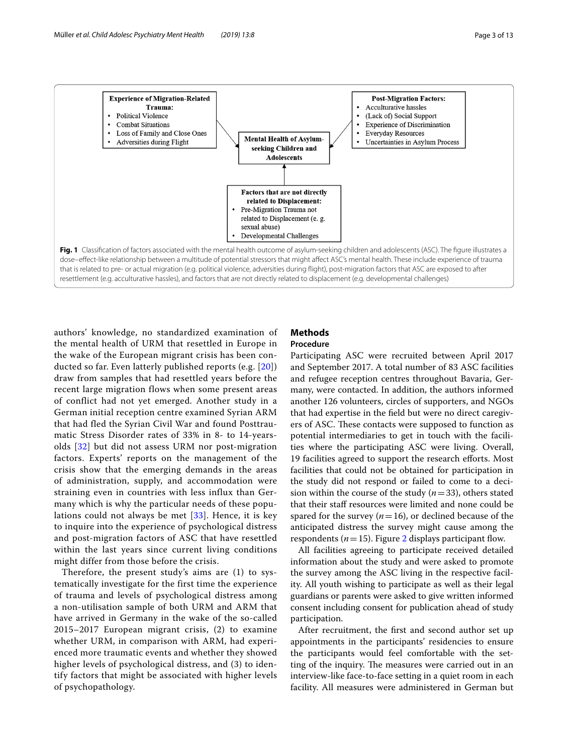

<span id="page-2-0"></span>authors' knowledge, no standardized examination of the mental health of URM that resettled in Europe in the wake of the European migrant crisis has been conducted so far. Even latterly published reports (e.g. [[20\]](#page-12-22)) draw from samples that had resettled years before the recent large migration flows when some present areas of conflict had not yet emerged. Another study in a German initial reception centre examined Syrian ARM that had fled the Syrian Civil War and found Posttraumatic Stress Disorder rates of 33% in 8- to 14-yearsolds [\[32\]](#page-12-24) but did not assess URM nor post-migration factors. Experts' reports on the management of the crisis show that the emerging demands in the areas of administration, supply, and accommodation were straining even in countries with less influx than Germany which is why the particular needs of these populations could not always be met  $[33]$  $[33]$  $[33]$ . Hence, it is key to inquire into the experience of psychological distress and post-migration factors of ASC that have resettled within the last years since current living conditions might differ from those before the crisis.

Therefore, the present study's aims are (1) to systematically investigate for the first time the experience of trauma and levels of psychological distress among a non-utilisation sample of both URM and ARM that have arrived in Germany in the wake of the so-called 2015–2017 European migrant crisis, (2) to examine whether URM, in comparison with ARM, had experienced more traumatic events and whether they showed higher levels of psychological distress, and (3) to identify factors that might be associated with higher levels of psychopathology.

# **Methods**

**Procedure**

Participating ASC were recruited between April 2017 and September 2017. A total number of 83 ASC facilities and refugee reception centres throughout Bavaria, Germany, were contacted. In addition, the authors informed another 126 volunteers, circles of supporters, and NGOs that had expertise in the feld but were no direct caregivers of ASC. These contacts were supposed to function as potential intermediaries to get in touch with the facilities where the participating ASC were living. Overall, 19 facilities agreed to support the research eforts. Most facilities that could not be obtained for participation in the study did not respond or failed to come to a decision within the course of the study (*n*=33), others stated that their staf resources were limited and none could be spared for the survey  $(n=16)$ , or declined because of the anticipated distress the survey might cause among the respondents ( $n=15$ ). Figure [2](#page-3-0) displays participant flow.

All facilities agreeing to participate received detailed information about the study and were asked to promote the survey among the ASC living in the respective facility. All youth wishing to participate as well as their legal guardians or parents were asked to give written informed consent including consent for publication ahead of study participation.

After recruitment, the frst and second author set up appointments in the participants' residencies to ensure the participants would feel comfortable with the setting of the inquiry. The measures were carried out in an interview-like face-to-face setting in a quiet room in each facility. All measures were administered in German but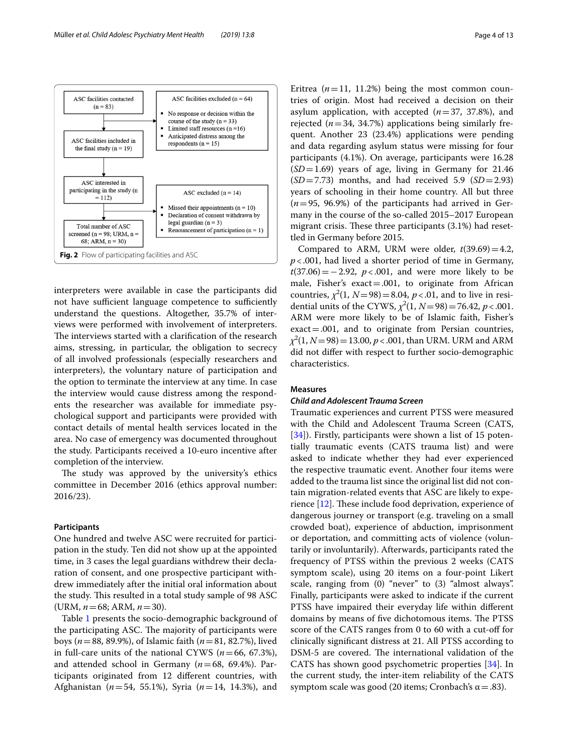

<span id="page-3-0"></span>interpreters were available in case the participants did not have sufficient language competence to sufficiently understand the questions. Altogether, 35.7% of interviews were performed with involvement of interpreters. The interviews started with a clarification of the research aims, stressing, in particular, the obligation to secrecy of all involved professionals (especially researchers and interpreters), the voluntary nature of participation and the option to terminate the interview at any time. In case the interview would cause distress among the respondents the researcher was available for immediate psychological support and participants were provided with contact details of mental health services located in the area. No case of emergency was documented throughout the study. Participants received a 10-euro incentive after completion of the interview.

The study was approved by the university's ethics committee in December 2016 (ethics approval number: 2016/23).

#### **Participants**

One hundred and twelve ASC were recruited for participation in the study. Ten did not show up at the appointed time, in 3 cases the legal guardians withdrew their declaration of consent, and one prospective participant withdrew immediately after the initial oral information about the study. This resulted in a total study sample of 98 ASC (URM, *n*=68; ARM, *n*=30).

Table [1](#page-4-0) presents the socio-demographic background of the participating ASC. The majority of participants were boys (*n*=88, 89.9%), of Islamic faith (*n*=81, 82.7%), lived in full-care units of the national CYWS  $(n=66, 67.3\%)$ , and attended school in Germany (*n*=68, 69.4%). Participants originated from 12 diferent countries, with Afghanistan (*n*=54, 55.1%), Syria (*n*=14, 14.3%), and Eritrea  $(n=11, 11.2%)$  being the most common countries of origin. Most had received a decision on their asylum application, with accepted (*n*=37, 37.8%), and rejected (*n*=34, 34.7%) applications being similarly frequent. Another 23 (23.4%) applications were pending and data regarding asylum status were missing for four participants (4.1%). On average, participants were 16.28  $(SD=1.69)$  years of age, living in Germany for 21.46  $(SD=7.73)$  months, and had received 5.9  $(SD=2.93)$ years of schooling in their home country. All but three (*n*=95, 96.9%) of the participants had arrived in Germany in the course of the so-called 2015–2017 European migrant crisis. These three participants  $(3.1%)$  had resettled in Germany before 2015.

Compared to ARM, URM were older,  $t(39.69)=4.2$ , *p*<.001, had lived a shorter period of time in Germany, *t*(37.06) = −2.92, *p* < 0.01, and were more likely to be male, Fisher's exact=.001, to originate from African countries,  $\chi^2(1, N=98) = 8.04, p < .01$ , and to live in residential units of the CYWS,  $\chi^2(1, N=98) = 76.42, p < .001$ . ARM were more likely to be of Islamic faith, Fisher's  $exact = .001$ , and to originate from Persian countries, *χ*2 (1, *N*=98)=13.00, *p*<.001, than URM. URM and ARM did not difer with respect to further socio-demographic characteristics.

## **Measures**

#### *Child and Adolescent Trauma Screen*

Traumatic experiences and current PTSS were measured with the Child and Adolescent Trauma Screen (CATS, [[34\]](#page-12-26)). Firstly, participants were shown a list of 15 potentially traumatic events (CATS trauma list) and were asked to indicate whether they had ever experienced the respective traumatic event. Another four items were added to the trauma list since the original list did not contain migration-related events that ASC are likely to experience  $[12]$  $[12]$ . These include food deprivation, experience of dangerous journey or transport (e.g. traveling on a small crowded boat), experience of abduction, imprisonment or deportation, and committing acts of violence (voluntarily or involuntarily). Afterwards, participants rated the frequency of PTSS within the previous 2 weeks (CATS symptom scale), using 20 items on a four-point Likert scale, ranging from (0) "never" to (3) "almost always". Finally, participants were asked to indicate if the current PTSS have impaired their everyday life within diferent domains by means of five dichotomous items. The PTSS score of the CATS ranges from 0 to 60 with a cut-off for clinically signifcant distress at 21. All PTSS according to DSM-5 are covered. The international validation of the CATS has shown good psychometric properties [\[34](#page-12-26)]. In the current study, the inter-item reliability of the CATS symptom scale was good (20 items; Cronbach's  $\alpha = .83$ ).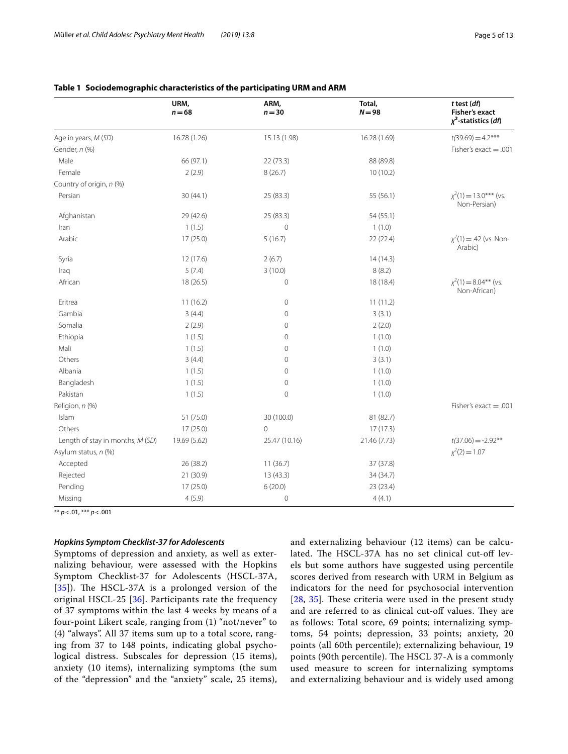|                                  | URM,<br>$n = 68$ | ARM,<br>$n = 30$ | Total,<br>$N = 98$ | $t$ test $(df)$<br><b>Fisher's exact</b><br>$\chi^2$ -statistics (df) |
|----------------------------------|------------------|------------------|--------------------|-----------------------------------------------------------------------|
| Age in years, M (SD)             | 16.78 (1.26)     | 15.13 (1.98)     | 16.28 (1.69)       | $t(39.69) = 4.2***$                                                   |
| Gender, n (%)                    |                  |                  |                    | Fisher's exact = $.001$                                               |
| Male                             | 66 (97.1)        | 22 (73.3)        | 88 (89.8)          |                                                                       |
| Female                           | 2(2.9)           | 8(26.7)          | 10(10.2)           |                                                                       |
| Country of origin, n (%)         |                  |                  |                    |                                                                       |
| Persian                          | 30(44.1)         | 25 (83.3)        | 55 (56.1)          | $\chi^2(1) = 13.0***$ (vs.<br>Non-Persian)                            |
| Afghanistan                      | 29 (42.6)        | 25 (83.3)        | 54(55.1)           |                                                                       |
| Iran                             | 1(1.5)           | $\mathbf{0}$     | 1(1.0)             |                                                                       |
| Arabic                           | 17 (25.0)        | 5(16.7)          | 22 (22.4)          | $\chi^2(1) = .42$ (vs. Non-<br>Arabic)                                |
| Syria                            | 12 (17.6)        | 2(6.7)           | 14(14.3)           |                                                                       |
| Iraq                             | 5(7.4)           | 3(10.0)          | 8(8.2)             |                                                                       |
| African                          | 18 (26.5)        | $\mathbf 0$      | 18 (18.4)          | $\chi^2(1) = 8.04***$ (vs.<br>Non-African)                            |
| Eritrea                          | 11(16.2)         | $\mathbf 0$      | 11(11.2)           |                                                                       |
| Gambia                           | 3(4.4)           | $\mathbf 0$      | 3(3.1)             |                                                                       |
| Somalia                          | 2(2.9)           | $\mathbf 0$      | 2(2.0)             |                                                                       |
| Ethiopia                         | 1(1.5)           | $\circ$          | 1(1.0)             |                                                                       |
| Mali                             | 1(1.5)           | $\circ$          | 1(1.0)             |                                                                       |
| Others                           | 3(4.4)           | $\circ$          | 3(3.1)             |                                                                       |
| Albania                          | 1(1.5)           | $\mathbf{0}$     | 1(1.0)             |                                                                       |
| Bangladesh                       | 1(1.5)           | $\mathbf 0$      | 1(1.0)             |                                                                       |
| Pakistan                         | 1(1.5)           | $\mathbf{0}$     | 1(1.0)             |                                                                       |
| Religion, n (%)                  |                  |                  |                    | Fisher's exact $= .001$                                               |
| Islam                            | 51 (75.0)        | 30 (100.0)       | 81 (82.7)          |                                                                       |
| Others                           | 17(25.0)         | $\overline{0}$   | 17(17.3)           |                                                                       |
| Length of stay in months, M (SD) | 19.69 (5.62)     | 25.47 (10.16)    | 21.46 (7.73)       | $t(37.06) = -2.92**$                                                  |
| Asylum status, n (%)             |                  |                  |                    | $\chi^2(2) = 1.07$                                                    |
| Accepted                         | 26 (38.2)        | 11(36.7)         | 37 (37.8)          |                                                                       |
| Rejected                         | 21(30.9)         | 13 (43.3)        | 34 (34.7)          |                                                                       |
| Pending                          | 17 (25.0)        | 6(20.0)          | 23 (23.4)          |                                                                       |
| Missing                          | 4(5.9)           | $\mathbf 0$      | 4(4.1)             |                                                                       |

# <span id="page-4-0"></span>**Table 1 Sociodemographic characteristics of the participating URM and ARM**

\*\* *p*<.01, \*\*\* *p*<.001

#### *Hopkins Symptom Checklist‑37 for Adolescents*

Symptoms of depression and anxiety, as well as externalizing behaviour, were assessed with the Hopkins Symptom Checklist-37 for Adolescents (HSCL-37A,  $[35]$  $[35]$  $[35]$ ). The HSCL-37A is a prolonged version of the original HSCL-25 [[36\]](#page-12-28). Participants rate the frequency of 37 symptoms within the last 4 weeks by means of a four-point Likert scale, ranging from (1) "not/never" to (4) "always". All 37 items sum up to a total score, ranging from 37 to 148 points, indicating global psychological distress. Subscales for depression (15 items), anxiety (10 items), internalizing symptoms (the sum of the "depression" and the "anxiety" scale, 25 items), and externalizing behaviour (12 items) can be calculated. The HSCL-37A has no set clinical cut-off levels but some authors have suggested using percentile scores derived from research with URM in Belgium as indicators for the need for psychosocial intervention  $[28, 35]$  $[28, 35]$  $[28, 35]$  $[28, 35]$  $[28, 35]$ . These criteria were used in the present study and are referred to as clinical cut-off values. They are as follows: Total score, 69 points; internalizing symptoms, 54 points; depression, 33 points; anxiety, 20 points (all 60th percentile); externalizing behaviour, 19 points (90th percentile). The HSCL 37-A is a commonly used measure to screen for internalizing symptoms and externalizing behaviour and is widely used among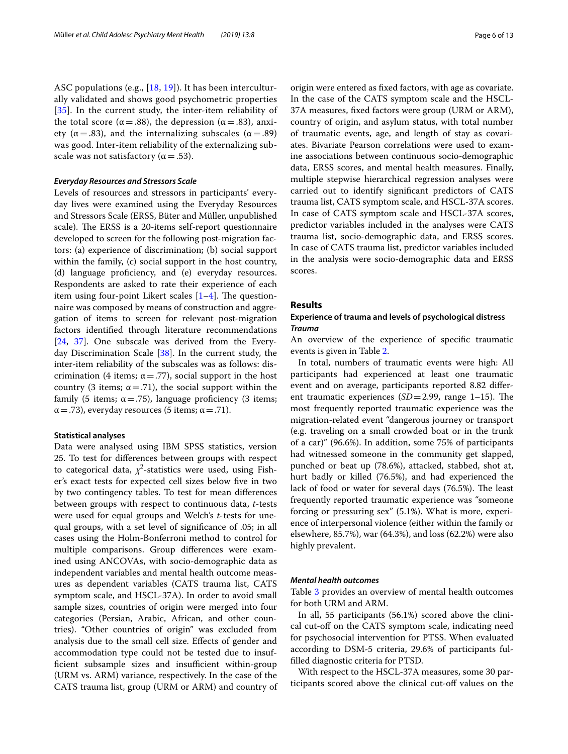ASC populations (e.g., [[18,](#page-12-11) [19\]](#page-12-29)). It has been interculturally validated and shows good psychometric properties [[35](#page-12-27)]. In the current study, the inter-item reliability of the total score ( $\alpha = .88$ ), the depression ( $\alpha = .83$ ), anxiety ( $\alpha = .83$ ), and the internalizing subscales ( $\alpha = .89$ ) was good. Inter-item reliability of the externalizing subscale was not satisfactory ( $\alpha = .53$ ).

# *Everyday Resources and Stressors Scale*

Levels of resources and stressors in participants' everyday lives were examined using the Everyday Resources and Stressors Scale (ERSS, Büter and Müller, unpublished scale). The ERSS is a 20-items self-report questionnaire developed to screen for the following post-migration factors: (a) experience of discrimination; (b) social support within the family, (c) social support in the host country, (d) language profciency, and (e) everyday resources. Respondents are asked to rate their experience of each item using four-point Likert scales  $[1-4]$  $[1-4]$ . The questionnaire was composed by means of construction and aggregation of items to screen for relevant post-migration factors identifed through literature recommendations [[24,](#page-12-15) [37\]](#page-12-30). One subscale was derived from the Everyday Discrimination Scale [[38\]](#page-12-31). In the current study, the inter-item reliability of the subscales was as follows: discrimination (4 items;  $\alpha = .77$ ), social support in the host country (3 items;  $\alpha = .71$ ), the social support within the family (5 items;  $\alpha = .75$ ), language proficiency (3 items;  $\alpha$  = .73), everyday resources (5 items;  $\alpha$  = .71).

#### **Statistical analyses**

Data were analysed using IBM SPSS statistics, version 25. To test for diferences between groups with respect to categorical data,  $\chi^2$ -statistics were used, using Fisher's exact tests for expected cell sizes below fve in two by two contingency tables. To test for mean diferences between groups with respect to continuous data, *t*-tests were used for equal groups and Welch's *t*-tests for unequal groups, with a set level of signifcance of .05; in all cases using the Holm-Bonferroni method to control for multiple comparisons. Group diferences were examined using ANCOVAs, with socio-demographic data as independent variables and mental health outcome measures as dependent variables (CATS trauma list, CATS symptom scale, and HSCL-37A). In order to avoid small sample sizes, countries of origin were merged into four categories (Persian, Arabic, African, and other countries). "Other countries of origin" was excluded from analysis due to the small cell size. Efects of gender and accommodation type could not be tested due to insufficient subsample sizes and insufficient within-group (URM vs. ARM) variance, respectively. In the case of the CATS trauma list, group (URM or ARM) and country of origin were entered as fxed factors, with age as covariate. In the case of the CATS symptom scale and the HSCL-37A measures, fxed factors were group (URM or ARM), country of origin, and asylum status, with total number of traumatic events, age, and length of stay as covariates. Bivariate Pearson correlations were used to examine associations between continuous socio-demographic data, ERSS scores, and mental health measures. Finally, multiple stepwise hierarchical regression analyses were carried out to identify signifcant predictors of CATS trauma list, CATS symptom scale, and HSCL-37A scores. In case of CATS symptom scale and HSCL-37A scores, predictor variables included in the analyses were CATS trauma list, socio-demographic data, and ERSS scores. In case of CATS trauma list, predictor variables included in the analysis were socio-demographic data and ERSS scores.

# **Results**

# **Experience of trauma and levels of psychological distress** *Trauma*

An overview of the experience of specifc traumatic events is given in Table [2](#page-6-0).

In total, numbers of traumatic events were high: All participants had experienced at least one traumatic event and on average, participants reported 8.82 diferent traumatic experiences  $(SD=2.99)$ , range 1–15). The most frequently reported traumatic experience was the migration-related event "dangerous journey or transport (e.g. traveling on a small crowded boat or in the trunk of a car)" (96.6%). In addition, some 75% of participants had witnessed someone in the community get slapped, punched or beat up (78.6%), attacked, stabbed, shot at, hurt badly or killed (76.5%), and had experienced the lack of food or water for several days (76.5%). The least frequently reported traumatic experience was "someone forcing or pressuring sex" (5.1%). What is more, experience of interpersonal violence (either within the family or elsewhere, 85.7%), war (64.3%), and loss (62.2%) were also highly prevalent.

# *Mental health outcomes*

Table [3](#page-6-1) provides an overview of mental health outcomes for both URM and ARM.

In all, 55 participants (56.1%) scored above the clinical cut-off on the CATS symptom scale, indicating need for psychosocial intervention for PTSS. When evaluated according to DSM-5 criteria, 29.6% of participants fulflled diagnostic criteria for PTSD.

With respect to the HSCL-37A measures, some 30 participants scored above the clinical cut-of values on the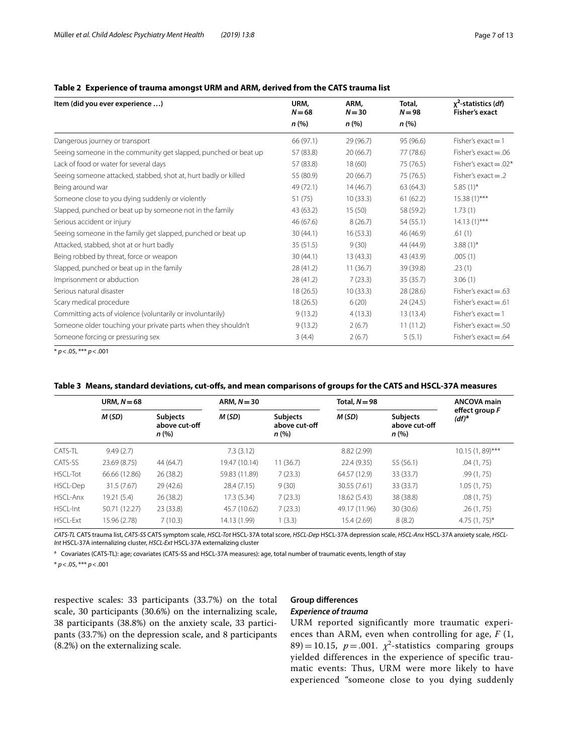# <span id="page-6-0"></span>**Table 2 Experience of trauma amongst URM and ARM, derived from the CATS trauma list**

| Item (did you ever experience )                                 | URM,<br>$N = 68$ | ARM,<br>$N = 30$ | Total,<br>$N = 98$ | $x^2$ -statistics (df)<br><b>Fisher's exact</b> |  |
|-----------------------------------------------------------------|------------------|------------------|--------------------|-------------------------------------------------|--|
|                                                                 | n (%)            | n (%)            | n (%)              |                                                 |  |
| Dangerous journey or transport                                  | 66 (97.1)        | 29 (96.7)        | 95 (96.6)          | Fisher's exact $= 1$                            |  |
| Seeing someone in the community get slapped, punched or beat up | 57 (83.8)        | 20(66.7)         | 77 (78.6)          | Fisher's exact $= .06$                          |  |
| Lack of food or water for several days                          | 57 (83.8)        | 18 (60)          | 75 (76.5)          | Fisher's exact = $.02*$                         |  |
| Seeing someone attacked, stabbed, shot at, hurt badly or killed | 55 (80.9)        | 20(66.7)         | 75 (76.5)          | Fisher's exact $= .2$                           |  |
| Being around war                                                | 49 (72.1)        | 14(46.7)         | 63 (64.3)          | $5.85(1)$ *                                     |  |
| Someone close to you dying suddenly or violently                | 51(75)           | 10(33.3)         | 61(62.2)           | $15.38(1)$ ***                                  |  |
| Slapped, punched or beat up by someone not in the family        | 43 (63.2)        | 15(50)           | 58 (59.2)          | 1.73(1)                                         |  |
| Serious accident or injury                                      | 46 (67.6)        | 8(26.7)          | 54(55.1)           | $14.13(1)$ ***                                  |  |
| Seeing someone in the family get slapped, punched or beat up    | 30(44.1)         | 16(53.3)         | 46 (46.9)          | .61(1)                                          |  |
| Attacked, stabbed, shot at or hurt badly                        | 35(51.5)         | 9(30)            | 44 (44.9)          | $3.88(1)$ *                                     |  |
| Being robbed by threat, force or weapon                         | 30(44.1)         | 13(43.3)         | 43 (43.9)          | .005(1)                                         |  |
| Slapped, punched or beat up in the family                       | 28 (41.2)        | 11(36.7)         | 39 (39.8)          | .23(1)                                          |  |
| Imprisonment or abduction                                       | 28 (41.2)        | 7(23.3)          | 35 (35.7)          | 3.06(1)                                         |  |
| Serious natural disaster                                        | 18(26.5)         | 10(33.3)         | 28(28.6)           | Fisher's exact = $.63$                          |  |
| Scary medical procedure                                         | 18(26.5)         | 6(20)            | 24(24.5)           | Fisher's exact = $.61$                          |  |
| Committing acts of violence (voluntarily or involuntarily)      | 9(13.2)          | 4(13.3)          | 13(13.4)           | Fisher's exact $= 1$                            |  |
| Someone older touching your private parts when they shouldn't   | 9(13.2)          | 2(6.7)           | 11(11.2)           | Fisher's exact $= .50$                          |  |
| Someone forcing or pressuring sex                               | 3(4.4)           | 2(6.7)           | 5(5.1)             | Fisher's exact = $.64$                          |  |

\* *p*<.05, \*\*\* *p*<.001

<span id="page-6-1"></span>

|  | Table 3 Means, standard deviations, cut-offs, and mean comparisons of groups for the CATS and HSCL-37A measures |
|--|-----------------------------------------------------------------------------------------------------------------|
|  |                                                                                                                 |

|                 | URM, $N = 68$ |                                          | $ARM. N = 30$ |                                          | Total, $N = 98$ | <b>ANCOVA</b> main                        |                                     |  |
|-----------------|---------------|------------------------------------------|---------------|------------------------------------------|-----------------|-------------------------------------------|-------------------------------------|--|
|                 | M(SD)         | <b>Subjects</b><br>above cut-off<br>n(%) | M(SD)         | <b>Subjects</b><br>above cut-off<br>n(%) | M(SD)           | <b>Subjects</b><br>above cut-off<br>n (%) | effect group F<br>(df) <sup>a</sup> |  |
| CATS-TL         | 9.49(2.7)     |                                          | 7.3(3.12)     |                                          | 8.82 (2.99)     |                                           | $10.15(1, 89)$ ***                  |  |
| CATS-SS         | 23.69 (8.75)  | 44 (64.7)                                | 19.47 (10.14) | 11(36.7)                                 | 22.4 (9.35)     | 55 (56.1)                                 | .04(1, 75)                          |  |
| HSCI-Tot        | 66.66 (12.86) | 26(38.2)                                 | 59.83 (11.89) | 7(23.3)                                  | 64.57 (12.9)    | 33 (33.7)                                 | .99(1, 75)                          |  |
| HSCL-Dep        | 31.5 (7.67)   | 29(42.6)                                 | 28.4 (7.15)   | 9(30)                                    | 30.55 (7.61)    | 33 (33.7)                                 | 1.05(1, 75)                         |  |
| HSCI-Anx        | 19.21 (5.4)   | 26(38.2)                                 | 17.3 (5.34)   | 7(23.3)                                  | 18.62 (5.43)    | 38 (38.8)                                 | .08(1, 75)                          |  |
| <b>HSCL-Int</b> | 50.71 (12.27) | 23 (33.8)                                | 45.7 (10.62)  | 7(23.3)                                  | 49.17 (11.96)   | 30 (30.6)                                 | .26(1, 75)                          |  |
| <b>HSCL-Ext</b> | 15.96 (2.78)  | 7(10.3)                                  | 14.13 (1.99)  | 1(3.3)                                   | 15.4 (2.69)     | 8(8.2)                                    | $4.75(1, 75)^*$                     |  |

*CATS-TL* CATS trauma list, *CATS-SS* CATS symptom scale, *HSCL-Tot* HSCL-37A total score, *HSCL-Dep* HSCL-37A depression scale, *HSCL-Anx* HSCL-37A anxiety scale, *HSCL-Int* HSCL-37A internalizing cluster, *HSCL-Ext* HSCL-37A externalizing cluster

<sup>a</sup> Covariates (CATS-TL): age; covariates (CATS-SS and HSCL-37A measures): age, total number of traumatic events, length of stay

\* *p*<.05, \*\*\* *p*<.001

respective scales: 33 participants (33.7%) on the total scale, 30 participants (30.6%) on the internalizing scale, 38 participants (38.8%) on the anxiety scale, 33 participants (33.7%) on the depression scale, and 8 participants (8.2%) on the externalizing scale.

# **Group diferences** *Experience of trauma*

URM reported significantly more traumatic experiences than ARM, even when controlling for age, *F* (1,  $89) = 10.15$ ,  $p = .001$ .  $\chi^2$ -statistics comparing groups yielded differences in the experience of specific traumatic events: Thus, URM were more likely to have experienced "someone close to you dying suddenly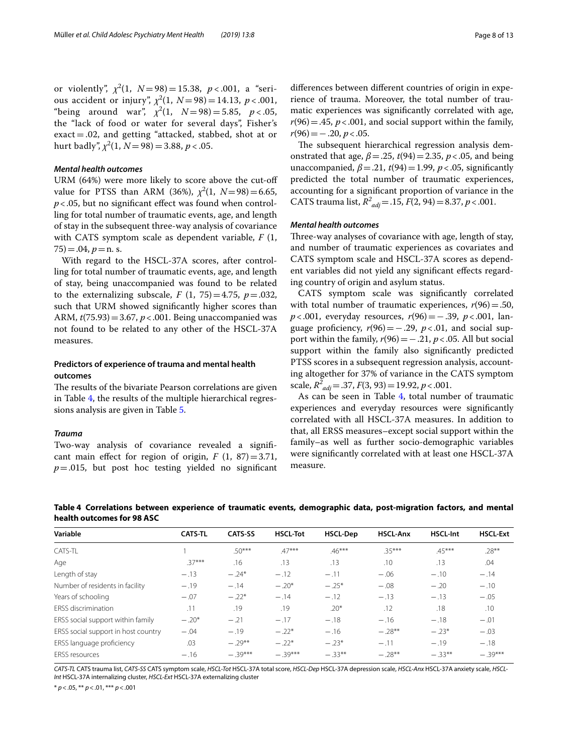or violently",  $\chi^2(1, N=98)=15.38, p<.001$ , a "serious accident or injury",  $\chi^2(1, N=98) = 14.13, p < .001$ , "being around war",  $\chi^2(1, N=98) = 5.85, p < .05,$ the "lack of food or water for several days", Fisher's exact = .02, and getting "attacked, stabbed, shot at or hurt badly", *χ*<sup>2</sup> (1, *N* = 98) = 3.88, *p* < .05.

## *Mental health outcomes*

URM (64%) were more likely to score above the cut-of value for PTSS than ARM (36%),  $\chi^2(1, N=98) = 6.65$ ,  $p$  <.05, but no significant effect was found when controlling for total number of traumatic events, age, and length of stay in the subsequent three-way analysis of covariance with CATS symptom scale as dependent variable, *F* (1,  $75$ ) = .04,  $p$  = n. s.

With regard to the HSCL-37A scores, after controlling for total number of traumatic events, age, and length of stay, being unaccompanied was found to be related to the externalizing subscale, *F* (1, 75) = 4.75,  $p = .032$ , such that URM showed signifcantly higher scores than ARM, *t*(75.93)=3.67, *p*<.001. Being unaccompanied was not found to be related to any other of the HSCL-37A measures.

# **Predictors of experience of trauma and mental health outcomes**

The results of the bivariate Pearson correlations are given in Table [4](#page-7-0), the results of the multiple hierarchical regressions analysis are given in Table [5.](#page-8-0)

#### *Trauma*

# Two-way analysis of covariance revealed a signifcant main effect for region of origin,  $F(1, 87) = 3.71$ ,  $p = .015$ , but post hoc testing yielded no significant

diferences between diferent countries of origin in experience of trauma. Moreover, the total number of traumatic experiences was signifcantly correlated with age,  $r(96) = .45$ ,  $p < .001$ , and social support within the family, *r*(96) = − .20, *p* < .05.

The subsequent hierarchical regression analysis demonstrated that age,  $\beta = .25$ ,  $t(94) = 2.35$ ,  $p < .05$ , and being unaccompanied,  $\beta$ =.21,  $t(94)$ =1.99,  $p < .05$ , significantly predicted the total number of traumatic experiences, accounting for a signifcant proportion of variance in the CATS trauma list,  $R^2_{adj} = .15$ ,  $F(2, 94) = 8.37$ ,  $p < .001$ .

## *Mental health outcomes*

Three-way analyses of covariance with age, length of stay, and number of traumatic experiences as covariates and CATS symptom scale and HSCL-37A scores as dependent variables did not yield any signifcant efects regarding country of origin and asylum status.

CATS symptom scale was signifcantly correlated with total number of traumatic experiences,  $r(96) = .50$ , *p* <.001, everyday resources, *r*(96) = −.39, *p* <.001, language proficiency,  $r(96) = -.29$ ,  $p < .01$ , and social support within the family,  $r(96) = -0.21$ ,  $p < 0.05$ . All but social support within the family also signifcantly predicted PTSS scores in a subsequent regression analysis, accounting altogether for 37% of variance in the CATS symptom scale, *R2 adj*=.37, *F*(3, 93)=19.92, *p*<.001.

As can be seen in Table [4](#page-7-0), total number of traumatic experiences and everyday resources were signifcantly correlated with all HSCL-37A measures. In addition to that, all ERSS measures–except social support within the family–as well as further socio-demographic variables were signifcantly correlated with at least one HSCL-37A measure.

| Variable                            | <b>CATS-TL</b> | <b>CATS-SS</b> | <b>HSCL-Tot</b> | HSCL-Dep | <b>HSCL-Anx</b> | <b>HSCL-Int</b> | <b>HSCL-Ext</b> |
|-------------------------------------|----------------|----------------|-----------------|----------|-----------------|-----------------|-----------------|
| CATS-TL                             |                | $.50***$       | $.47***$        | $.46***$ | $.35***$        | $.45***$        | $.28***$        |
| Age                                 | $.37***$       | .16            | .13             | .13      | .10             | .13             | .04             |
| Length of stay                      | $-.13$         | $-.24*$        | $-.12$          | $-.11$   | $-.06$          | $-.10$          | $-.14$          |
| Number of residents in facility     | $-.19$         | $-.14$         | $-.20*$         | $-.25*$  | $-.08$          | $-.20$          | $-.10$          |
| Years of schooling                  | $-.07$         | $-.22*$        | $-.14$          | $-.12$   | $-.13$          | $-.13$          | $-.05$          |
| <b>FRSS</b> discrimination          | .11            | .19            | .19             | $.20*$   | .12             | .18             | .10             |
| ERSS social support within family   | $-.20*$        | $-.21$         | $-.17$          | $-.18$   | $-.16$          | $-.18$          | $-.01$          |
| ERSS social support in host country | $-.04$         | $-.19$         | $-.22*$         | $-.16$   | $-.28**$        | $-23*$          | $-.03$          |
| ERSS language proficiency           | .03            | $-.29**$       | $-.22*$         | $-.23*$  | $-.11$          | $-.19$          | $-.18$          |
| <b>ERSS</b> resources               | $-.16$         | $-.39***$      | $-.39***$       | $-.33**$ | $-.28**$        | $-.33***$       | $-.39***$       |

<span id="page-7-0"></span>**Table 4 Correlations between experience of traumatic events, demographic data, post-migration factors, and mental health outcomes for 98 ASC**

*CATS-TL* CATS trauma list, *CATS-SS* CATS symptom scale, *HSCL-Tot* HSCL-37A total score, *HSCL-Dep* HSCL-37A depression scale, *HSCL-Anx* HSCL-37A anxiety scale, *HSCL-Int* HSCL-37A internalizing cluster, *HSCL-Ext* HSCL-37A externalizing cluster

\* *p*<.05, \*\* *p*<.01, \*\*\* *p*<.001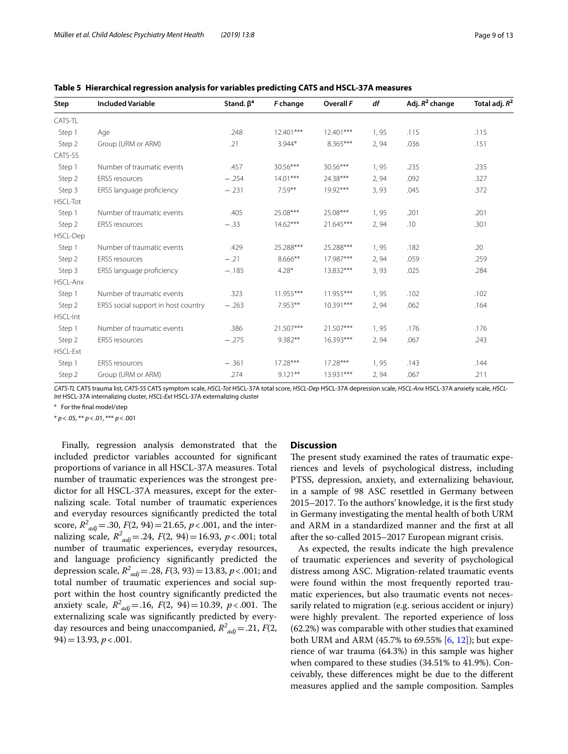| Step            | <b>Included Variable</b>            | Stand. $\beta^a$ | F change   | Overall F  | df   | Adj. $R^2$ change | Total adj. $R^2$ |
|-----------------|-------------------------------------|------------------|------------|------------|------|-------------------|------------------|
| CATS-TL         |                                     |                  |            |            |      |                   |                  |
| Step 1          | Age                                 | .248             | 12.401***  | 12.401***  | 1,95 | .115              | .115             |
| Step 2          | Group (URM or ARM)                  | .21              | $3.944*$   | $8.365***$ | 2,94 | .036              | .151             |
| CATS-SS         |                                     |                  |            |            |      |                   |                  |
| Step 1          | Number of traumatic events          | .457             | 30.56***   | 30.56***   | 1,95 | .235              | .235             |
| Step 2          | <b>ERSS resources</b>               | $-.254$          | $14.01***$ | 24.38***   | 2,94 | .092              | .327             |
| Step 3          | ERSS language proficiency           | $-.231$          | $7.59***$  | $19.92***$ | 3,93 | .045              | .372             |
| <b>HSCL-Tot</b> |                                     |                  |            |            |      |                   |                  |
| Step 1          | Number of traumatic events          | .405             | 25.08***   | 25.08***   | 1,95 | .201              | .201             |
| Step 2          | <b>ERSS</b> resources               | $-.33$           | $14.62***$ | 21.645***  | 2,94 | .10               | .301             |
| HSCL-Dep        |                                     |                  |            |            |      |                   |                  |
| Step 1          | Number of traumatic events          | .429             | 25.288***  | 25.288***  | 1,95 | .182              | .20              |
| Step 2          | <b>ERSS</b> resources               | $-.21$           | $8.666**$  | 17.987***  | 2,94 | .059              | .259             |
| Step 3          | ERSS language proficiency           | $-.185$          | $4.28*$    | 13.832***  | 3,93 | .025              | .284             |
| <b>HSCL-Anx</b> |                                     |                  |            |            |      |                   |                  |
| Step 1          | Number of traumatic events          | .323             | 11.955***  | 11.955***  | 1,95 | .102              | .102             |
| Step 2          | ERSS social support in host country | $-.263$          | $7.953**$  | 10.391***  | 2,94 | .062              | .164             |
| <b>HSCL-Int</b> |                                     |                  |            |            |      |                   |                  |
| Step 1          | Number of traumatic events          | .386             | 21.507***  | 21.507***  | 1,95 | .176              | .176             |
| Step 2          | <b>ERSS</b> resources               | $-.275$          | $9.382**$  | 16.393***  | 2,94 | .067              | .243             |
| <b>HSCL-Ext</b> |                                     |                  |            |            |      |                   |                  |
| Step 1          | <b>ERSS</b> resources               | $-.361$          | $17.28***$ | $17.28***$ | 1,95 | .143              | .144             |
| Step 2          | Group (URM or ARM)                  | .274             | $9.121***$ | 13.931***  | 2,94 | .067              | .211             |

<span id="page-8-0"></span>**Table 5 Hierarchical regression analysis for variables predicting CATS and HSCL-37A measures**

*CATS-TL* CATS trauma list, *CATS-SS* CATS symptom scale, *HSCL-Tot* HSCL-37A total score, *HSCL-Dep* HSCL-37A depression scale, *HSCL-Anx* HSCL-37A anxiety scale, *HSCL-Int* HSCL-37A internalizing cluster, *HSCL-Ext* HSCL-37A externalizing cluster

<sup>a</sup> For the final model/step

\* *p*<.05, \*\* *p*<.01, \*\*\* *p*<.001

Finally, regression analysis demonstrated that the included predictor variables accounted for signifcant proportions of variance in all HSCL-37A measures. Total number of traumatic experiences was the strongest predictor for all HSCL-37A measures, except for the externalizing scale. Total number of traumatic experiences and everyday resources signifcantly predicted the total score,  $R^2_{adj}$  = .30,  $F(2, 94)$  = 21.65,  $p < .001$ , and the internalizing scale,  $R^2_{adj} = .24$ ,  $F(2, 94) = 16.93$ ,  $p < .001$ ; total number of traumatic experiences, everyday resources, and language profciency signifcantly predicted the depression scale, *R2 adj*=.28, *F*(3, 93)=13.83, *p*<.001; and total number of traumatic experiences and social support within the host country signifcantly predicted the anxiety scale,  $R^2_{adj} = .16$ ,  $F(2, 94) = 10.39$ ,  $p < .001$ . The externalizing scale was signifcantly predicted by everyday resources and being unaccompanied,  $R^2_{\ \ adj} = .21$ ,  $F(2, 1)$ 94)=13.93, *p*<.001.

# **Discussion**

The present study examined the rates of traumatic experiences and levels of psychological distress, including PTSS, depression, anxiety, and externalizing behaviour, in a sample of 98 ASC resettled in Germany between 2015–2017. To the authors' knowledge, it is the frst study in Germany investigating the mental health of both URM and ARM in a standardized manner and the frst at all after the so-called 2015–2017 European migrant crisis.

As expected, the results indicate the high prevalence of traumatic experiences and severity of psychological distress among ASC. Migration-related traumatic events were found within the most frequently reported traumatic experiences, but also traumatic events not necessarily related to migration (e.g. serious accident or injury) were highly prevalent. The reported experience of loss (62.2%) was comparable with other studies that examined both URM and ARM (45.7% to 69.55% [\[6](#page-12-0), [12\]](#page-12-5)); but experience of war trauma (64.3%) in this sample was higher when compared to these studies (34.51% to 41.9%). Conceivably, these diferences might be due to the diferent measures applied and the sample composition. Samples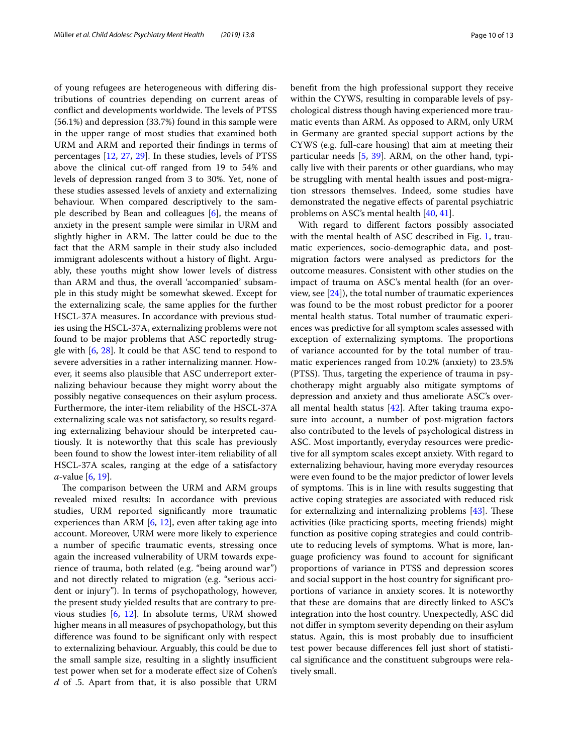of young refugees are heterogeneous with difering distributions of countries depending on current areas of conflict and developments worldwide. The levels of PTSS (56.1%) and depression (33.7%) found in this sample were in the upper range of most studies that examined both URM and ARM and reported their fndings in terms of percentages [[12](#page-12-5), [27,](#page-12-18) [29\]](#page-12-20). In these studies, levels of PTSS above the clinical cut-off ranged from 19 to 54% and levels of depression ranged from 3 to 30%. Yet, none of these studies assessed levels of anxiety and externalizing behaviour. When compared descriptively to the sample described by Bean and colleagues [[6](#page-12-0)], the means of anxiety in the present sample were similar in URM and slightly higher in ARM. The latter could be due to the fact that the ARM sample in their study also included immigrant adolescents without a history of fight. Arguably, these youths might show lower levels of distress than ARM and thus, the overall 'accompanied' subsample in this study might be somewhat skewed. Except for the externalizing scale, the same applies for the further HSCL-37A measures. In accordance with previous studies using the HSCL-37A, externalizing problems were not found to be major problems that ASC reportedly struggle with  $[6, 28]$  $[6, 28]$  $[6, 28]$  $[6, 28]$ . It could be that ASC tend to respond to severe adversities in a rather internalizing manner. However, it seems also plausible that ASC underreport externalizing behaviour because they might worry about the possibly negative consequences on their asylum process. Furthermore, the inter-item reliability of the HSCL-37A externalizing scale was not satisfactory, so results regarding externalizing behaviour should be interpreted cautiously. It is noteworthy that this scale has previously been found to show the lowest inter-item reliability of all HSCL-37A scales, ranging at the edge of a satisfactory *α*-value [[6,](#page-12-0) [19\]](#page-12-29).

The comparison between the URM and ARM groups revealed mixed results: In accordance with previous studies, URM reported signifcantly more traumatic experiences than ARM  $[6, 12]$  $[6, 12]$  $[6, 12]$  $[6, 12]$ , even after taking age into account. Moreover, URM were more likely to experience a number of specifc traumatic events, stressing once again the increased vulnerability of URM towards experience of trauma, both related (e.g. "being around war") and not directly related to migration (e.g. "serious accident or injury"). In terms of psychopathology, however, the present study yielded results that are contrary to previous studies [[6,](#page-12-0) [12](#page-12-5)]. In absolute terms, URM showed higher means in all measures of psychopathology, but this diference was found to be signifcant only with respect to externalizing behaviour. Arguably, this could be due to the small sample size, resulting in a slightly insufficient test power when set for a moderate efect size of Cohen's *d* of .5. Apart from that, it is also possible that URM beneft from the high professional support they receive within the CYWS, resulting in comparable levels of psychological distress though having experienced more traumatic events than ARM. As opposed to ARM, only URM in Germany are granted special support actions by the CYWS (e.g. full-care housing) that aim at meeting their particular needs [[5,](#page-11-3) [39](#page-12-32)]. ARM, on the other hand, typically live with their parents or other guardians, who may be struggling with mental health issues and post-migration stressors themselves. Indeed, some studies have demonstrated the negative efects of parental psychiatric problems on ASC's mental health [[40,](#page-12-33) [41\]](#page-12-34).

With regard to diferent factors possibly associated with the mental health of ASC described in Fig. [1,](#page-2-0) traumatic experiences, socio-demographic data, and postmigration factors were analysed as predictors for the outcome measures. Consistent with other studies on the impact of trauma on ASC's mental health (for an overview, see  $[24]$ ), the total number of traumatic experiences was found to be the most robust predictor for a poorer mental health status. Total number of traumatic experiences was predictive for all symptom scales assessed with exception of externalizing symptoms. The proportions of variance accounted for by the total number of traumatic experiences ranged from 10.2% (anxiety) to 23.5% (PTSS). Thus, targeting the experience of trauma in psychotherapy might arguably also mitigate symptoms of depression and anxiety and thus ameliorate ASC's overall mental health status [[42](#page-12-35)]. After taking trauma exposure into account, a number of post-migration factors also contributed to the levels of psychological distress in ASC. Most importantly, everyday resources were predictive for all symptom scales except anxiety. With regard to externalizing behaviour, having more everyday resources were even found to be the major predictor of lower levels of symptoms. This is in line with results suggesting that active coping strategies are associated with reduced risk for externalizing and internalizing problems  $[43]$ . These activities (like practicing sports, meeting friends) might function as positive coping strategies and could contribute to reducing levels of symptoms. What is more, language profciency was found to account for signifcant proportions of variance in PTSS and depression scores and social support in the host country for signifcant proportions of variance in anxiety scores. It is noteworthy that these are domains that are directly linked to ASC's integration into the host country. Unexpectedly, ASC did not difer in symptom severity depending on their asylum status. Again, this is most probably due to insufficient test power because diferences fell just short of statistical signifcance and the constituent subgroups were relatively small.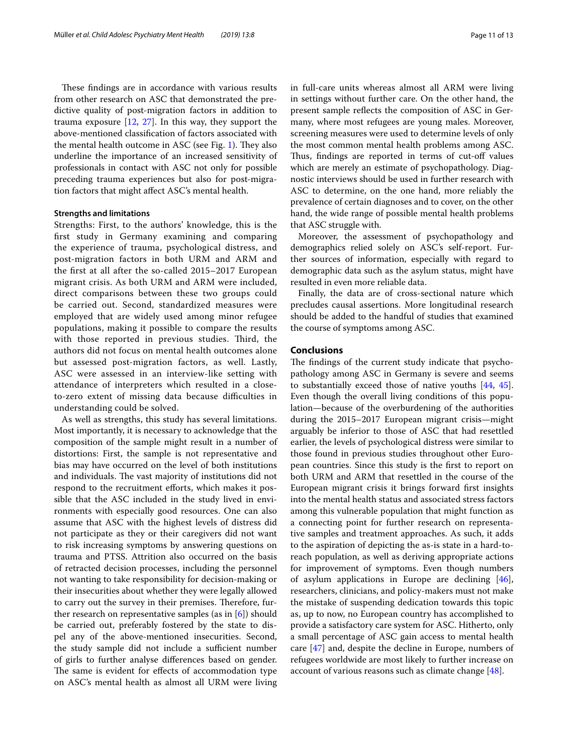These findings are in accordance with various results from other research on ASC that demonstrated the predictive quality of post-migration factors in addition to trauma exposure  $[12, 27]$  $[12, 27]$  $[12, 27]$  $[12, 27]$  $[12, 27]$ . In this way, they support the above-mentioned classifcation of factors associated with the mental health outcome in ASC (see Fig. [1\)](#page-2-0). They also underline the importance of an increased sensitivity of professionals in contact with ASC not only for possible preceding trauma experiences but also for post-migration factors that might afect ASC's mental health.

# **Strengths and limitations**

Strengths: First, to the authors' knowledge, this is the frst study in Germany examining and comparing the experience of trauma, psychological distress, and post-migration factors in both URM and ARM and the frst at all after the so-called 2015–2017 European migrant crisis. As both URM and ARM were included, direct comparisons between these two groups could be carried out. Second, standardized measures were employed that are widely used among minor refugee populations, making it possible to compare the results with those reported in previous studies. Third, the authors did not focus on mental health outcomes alone but assessed post-migration factors, as well. Lastly, ASC were assessed in an interview-like setting with attendance of interpreters which resulted in a closeto-zero extent of missing data because difficulties in understanding could be solved.

As well as strengths, this study has several limitations. Most importantly, it is necessary to acknowledge that the composition of the sample might result in a number of distortions: First, the sample is not representative and bias may have occurred on the level of both institutions and individuals. The vast majority of institutions did not respond to the recruitment efforts, which makes it possible that the ASC included in the study lived in environments with especially good resources. One can also assume that ASC with the highest levels of distress did not participate as they or their caregivers did not want to risk increasing symptoms by answering questions on trauma and PTSS. Attrition also occurred on the basis of retracted decision processes, including the personnel not wanting to take responsibility for decision-making or their insecurities about whether they were legally allowed to carry out the survey in their premises. Therefore, further research on representative samples (as in [\[6](#page-12-0)]) should be carried out, preferably fostered by the state to dispel any of the above-mentioned insecurities. Second, the study sample did not include a sufficient number of girls to further analyse diferences based on gender. The same is evident for effects of accommodation type on ASC's mental health as almost all URM were living

in full-care units whereas almost all ARM were living in settings without further care. On the other hand, the present sample refects the composition of ASC in Germany, where most refugees are young males. Moreover, screening measures were used to determine levels of only the most common mental health problems among ASC. Thus, findings are reported in terms of cut-off values which are merely an estimate of psychopathology. Diagnostic interviews should be used in further research with ASC to determine, on the one hand, more reliably the prevalence of certain diagnoses and to cover, on the other hand, the wide range of possible mental health problems that ASC struggle with.

Moreover, the assessment of psychopathology and demographics relied solely on ASC's self-report. Further sources of information, especially with regard to demographic data such as the asylum status, might have resulted in even more reliable data.

Finally, the data are of cross-sectional nature which precludes causal assertions. More longitudinal research should be added to the handful of studies that examined the course of symptoms among ASC.

# **Conclusions**

The findings of the current study indicate that psychopathology among ASC in Germany is severe and seems to substantially exceed those of native youths [\[44,](#page-12-37) [45](#page-12-38)]. Even though the overall living conditions of this population—because of the overburdening of the authorities during the 2015–2017 European migrant crisis—might arguably be inferior to those of ASC that had resettled earlier, the levels of psychological distress were similar to those found in previous studies throughout other European countries. Since this study is the frst to report on both URM and ARM that resettled in the course of the European migrant crisis it brings forward frst insights into the mental health status and associated stress factors among this vulnerable population that might function as a connecting point for further research on representative samples and treatment approaches. As such, it adds to the aspiration of depicting the as-is state in a hard-toreach population, as well as deriving appropriate actions for improvement of symptoms. Even though numbers of asylum applications in Europe are declining  $[46]$  $[46]$ , researchers, clinicians, and policy-makers must not make the mistake of suspending dedication towards this topic as, up to now, no European country has accomplished to provide a satisfactory care system for ASC. Hitherto, only a small percentage of ASC gain access to mental health care [\[47\]](#page-12-40) and, despite the decline in Europe, numbers of refugees worldwide are most likely to further increase on account of various reasons such as climate change [[48](#page-12-41)].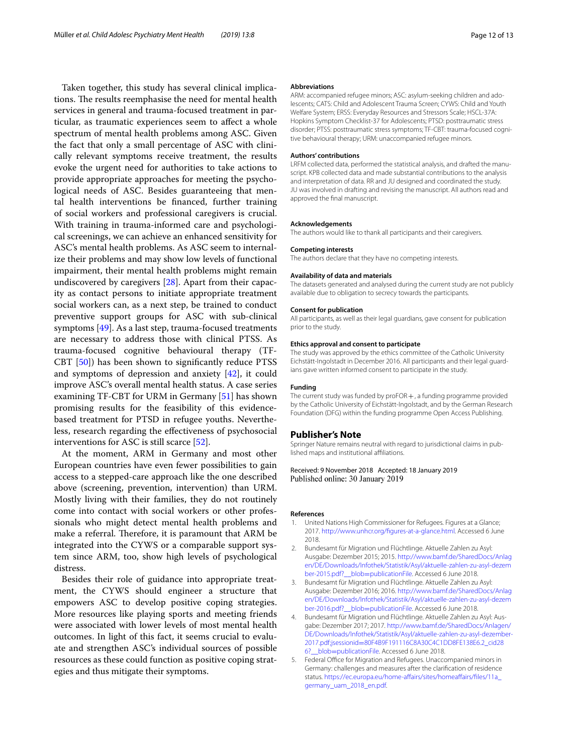Taken together, this study has several clinical implications. The results reemphasise the need for mental health services in general and trauma-focused treatment in particular, as traumatic experiences seem to affect a whole spectrum of mental health problems among ASC. Given the fact that only a small percentage of ASC with clinically relevant symptoms receive treatment, the results evoke the urgent need for authorities to take actions to provide appropriate approaches for meeting the psychological needs of ASC. Besides guaranteeing that mental health interventions be fnanced, further training of social workers and professional caregivers is crucial. With training in trauma-informed care and psychological screenings, we can achieve an enhanced sensitivity for ASC's mental health problems. As ASC seem to internalize their problems and may show low levels of functional impairment, their mental health problems might remain undiscovered by caregivers [\[28\]](#page-12-19). Apart from their capacity as contact persons to initiate appropriate treatment social workers can, as a next step, be trained to conduct preventive support groups for ASC with sub-clinical symptoms [\[49](#page-12-42)]. As a last step, trauma-focused treatments are necessary to address those with clinical PTSS. As trauma-focused cognitive behavioural therapy (TF-CBT [[50](#page-12-43)]) has been shown to signifcantly reduce PTSS and symptoms of depression and anxiety [[42](#page-12-35)], it could improve ASC's overall mental health status. A case series examining TF-CBT for URM in Germany [\[51](#page-12-44)] has shown promising results for the feasibility of this evidencebased treatment for PTSD in refugee youths. Nevertheless, research regarding the efectiveness of psychosocial interventions for ASC is still scarce [\[52](#page-12-45)].

At the moment, ARM in Germany and most other European countries have even fewer possibilities to gain access to a stepped-care approach like the one described above (screening, prevention, intervention) than URM. Mostly living with their families, they do not routinely come into contact with social workers or other professionals who might detect mental health problems and make a referral. Therefore, it is paramount that ARM be integrated into the CYWS or a comparable support system since ARM, too, show high levels of psychological distress.

Besides their role of guidance into appropriate treatment, the CYWS should engineer a structure that empowers ASC to develop positive coping strategies. More resources like playing sports and meeting friends were associated with lower levels of most mental health outcomes. In light of this fact, it seems crucial to evaluate and strengthen ASC's individual sources of possible resources as these could function as positive coping strategies and thus mitigate their symptoms.

#### **Abbreviations**

ARM: accompanied refugee minors; ASC: asylum-seeking children and adolescents; CATS: Child and Adolescent Trauma Screen; CYWS: Child and Youth Welfare System; ERSS: Everyday Resources and Stressors Scale; HSCL-37A: Hopkins Symptom Checklist-37 for Adolescents; PTSD: posttraumatic stress disorder; PTSS: posttraumatic stress symptoms; TF-CBT: trauma-focused cognitive behavioural therapy; URM: unaccompanied refugee minors.

#### **Authors' contributions**

LRFM collected data, performed the statistical analysis, and drafted the manuscript. KPB collected data and made substantial contributions to the analysis and interpretation of data. RR and JU designed and coordinated the study. JU was involved in drafting and revising the manuscript. All authors read and approved the fnal manuscript.

#### **Acknowledgements**

The authors would like to thank all participants and their caregivers.

#### **Competing interests**

The authors declare that they have no competing interests.

#### **Availability of data and materials**

The datasets generated and analysed during the current study are not publicly available due to obligation to secrecy towards the participants.

#### **Consent for publication**

All participants, as well as their legal guardians, gave consent for publication prior to the study.

#### **Ethics approval and consent to participate**

The study was approved by the ethics committee of the Catholic University Eichstätt-Ingolstadt in December 2016. All participants and their legal guardians gave written informed consent to participate in the study.

#### **Funding**

The current study was funded by proFOR +, a funding programme provided by the Catholic University of Eichstätt-Ingolstadt, and by the German Research Foundation (DFG) within the funding programme Open Access Publishing.

#### **Publisher's Note**

Springer Nature remains neutral with regard to jurisdictional claims in published maps and institutional affiliations.

#### Received: 9 November 2018 Accepted: 18 January 2019 Published online: 30 January 2019

#### **References**

- <span id="page-11-0"></span>1. United Nations High Commissioner for Refugees. Figures at a Glance; 2017. [http://www.unhcr.org/fgures-at-a-glance.html.](http://www.unhcr.org/figures-at-a-glance.html) Accessed 6 June 2018.
- <span id="page-11-1"></span>2. Bundesamt für Migration und Flüchtlinge. Aktuelle Zahlen zu Asyl: Ausgabe: Dezember 2015; 2015. [http://www.bamf.de/SharedDocs/Anlag](http://www.bamf.de/SharedDocs/Anlagen/DE/Downloads/Infothek/Statistik/Asyl/aktuelle-zahlen-zu-asyl-dezember-2015.pdf%3f__blob%3dpublicationFile) [en/DE/Downloads/Infothek/Statistik/Asyl/aktuelle-zahlen-zu-asyl-dezem](http://www.bamf.de/SharedDocs/Anlagen/DE/Downloads/Infothek/Statistik/Asyl/aktuelle-zahlen-zu-asyl-dezember-2015.pdf%3f__blob%3dpublicationFile) [ber-2015.pdf?\\_\\_blob](http://www.bamf.de/SharedDocs/Anlagen/DE/Downloads/Infothek/Statistik/Asyl/aktuelle-zahlen-zu-asyl-dezember-2015.pdf%3f__blob%3dpublicationFile)=publicationFile. Accessed 6 June 2018.
- 3. Bundesamt für Migration und Flüchtlinge. Aktuelle Zahlen zu Asyl: Ausgabe: Dezember 2016; 2016. [http://www.bamf.de/SharedDocs/Anlag](http://www.bamf.de/SharedDocs/Anlagen/DE/Downloads/Infothek/Statistik/Asyl/aktuelle-zahlen-zu-asyl-dezember-2016.pdf%3f__blob%3dpublicationFile) [en/DE/Downloads/Infothek/Statistik/Asyl/aktuelle-zahlen-zu-asyl-dezem](http://www.bamf.de/SharedDocs/Anlagen/DE/Downloads/Infothek/Statistik/Asyl/aktuelle-zahlen-zu-asyl-dezember-2016.pdf%3f__blob%3dpublicationFile) [ber-2016.pdf?\\_\\_blob](http://www.bamf.de/SharedDocs/Anlagen/DE/Downloads/Infothek/Statistik/Asyl/aktuelle-zahlen-zu-asyl-dezember-2016.pdf%3f__blob%3dpublicationFile)=publicationFile. Accessed 6 June 2018.
- <span id="page-11-2"></span>4. Bundesamt für Migration und Flüchtlinge. Aktuelle Zahlen zu Asyl: Ausgabe: Dezember 2017; 2017. [http://www.bamf.de/SharedDocs/Anlagen/](http://www.bamf.de/SharedDocs/Anlagen/DE/Downloads/Infothek/Statistik/Asyl/aktuelle-zahlen-zu-asyl-dezember-2017.pdf%3bjsessionid%3d80F4B9F191116C8A30C4C1DD8FE138E6.2_cid286%3f__blob%3dpublicationFile) [DE/Downloads/Infothek/Statistik/Asyl/aktuelle-zahlen-zu-asyl-dezember-](http://www.bamf.de/SharedDocs/Anlagen/DE/Downloads/Infothek/Statistik/Asyl/aktuelle-zahlen-zu-asyl-dezember-2017.pdf%3bjsessionid%3d80F4B9F191116C8A30C4C1DD8FE138E6.2_cid286%3f__blob%3dpublicationFile)2017.pdf;jsessionid=[80F4B9F191116C8A30C4C1DD8FE138E6.2\\_cid28](http://www.bamf.de/SharedDocs/Anlagen/DE/Downloads/Infothek/Statistik/Asyl/aktuelle-zahlen-zu-asyl-dezember-2017.pdf%3bjsessionid%3d80F4B9F191116C8A30C4C1DD8FE138E6.2_cid286%3f__blob%3dpublicationFile) 6?\_\_blob=[publicationFile](http://www.bamf.de/SharedDocs/Anlagen/DE/Downloads/Infothek/Statistik/Asyl/aktuelle-zahlen-zu-asyl-dezember-2017.pdf%3bjsessionid%3d80F4B9F191116C8A30C4C1DD8FE138E6.2_cid286%3f__blob%3dpublicationFile). Accessed 6 June 2018.
- <span id="page-11-3"></span>5. Federal Office for Migration and Refugees. Unaccompanied minors in Germany: challenges and measures after the clarifcation of residence status. https://ec.europa.eu/home-affairs/sites/homeaffairs/files/11a\_ [germany\\_uam\\_2018\\_en.pdf.](https://ec.europa.eu/home-affairs/sites/homeaffairs/files/11a_germany_uam_2018_en.pdf)